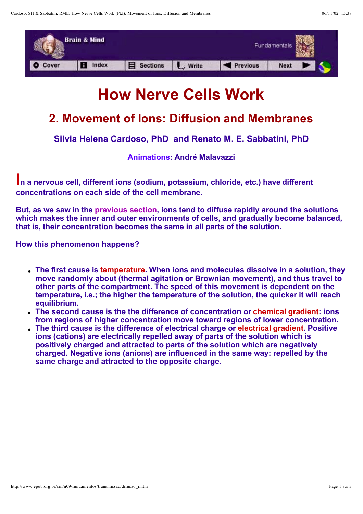

# **How Nerve Cells Work**

## **2. Movement of Ions: Diffusion and Membranes**

**Silvia Helena Cardoso, PhD and Renato M. E. Sabbatini, PhD**

**Animations: André Malavazzi**

**In a nervous cell, different ions (sodium, potassium, chloride, etc.) have different concentrations on each side of the cell membrane.**

But, as we saw in the previous section, ions tend to diffuse rapidly around the solutions **which makes the inner and outer environments of cells, and gradually become balanced, that is, their concentration becomes the same in all parts of the solution.**

**How this phenomenon happens?**

- **The first cause is temperature. When ions and molecules dissolve in a solution, they move randomly about (thermal agitation or Brownian movement), and thus travel to other parts of the compartment. The speed of this movement is dependent on the temperature, i.e.; the higher the temperature of the solution, the quicker it will reach equilibrium.**
- **The second cause is the the difference of concentration or chemical gradient: ions from regions of higher concentration move toward regions of lower concentration.**
- **The third cause is the difference of electrical charge or electrical gradient. Positive ions (cations) are electrically repelled away of parts of the solution which is positively charged and attracted to parts of the solution which are negatively charged. Negative ions (anions) are influenced in the same way: repelled by the same charge and attracted to the opposite charge.**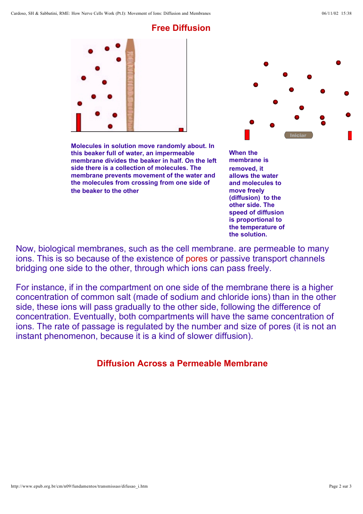#### **Free Diffusion**





**Molecules in solution move randomly about. In this beaker full of water, an impermeable membrane divides the beaker in half. On the left side there is a collection of molecules. The membrane prevents movement of the water and the molecules from crossing from one side of the beaker to the other**

**When the membrane is removed, it allows the water and molecules to move freely (diffusion) to the other side. The speed of diffusion is proportional to the temperature of the solution.**

Now, biological membranes, such as the cell membrane. are permeable to many ions. This is so because of the existence of pores or passive transport channels bridging one side to the other, through which ions can pass freely.

For instance, if in the compartment on one side of the membrane there is a higher concentration of common salt (made of sodium and chloride ions) than in the other side, these ions will pass gradually to the other side, following the difference of concentration. Eventually, both compartments will have the same concentration of ions. The rate of passage is regulated by the number and size of pores (it is not an instant phenomenon, because it is a kind of slower diffusion).

### **Diffusion Across a Permeable Membrane**